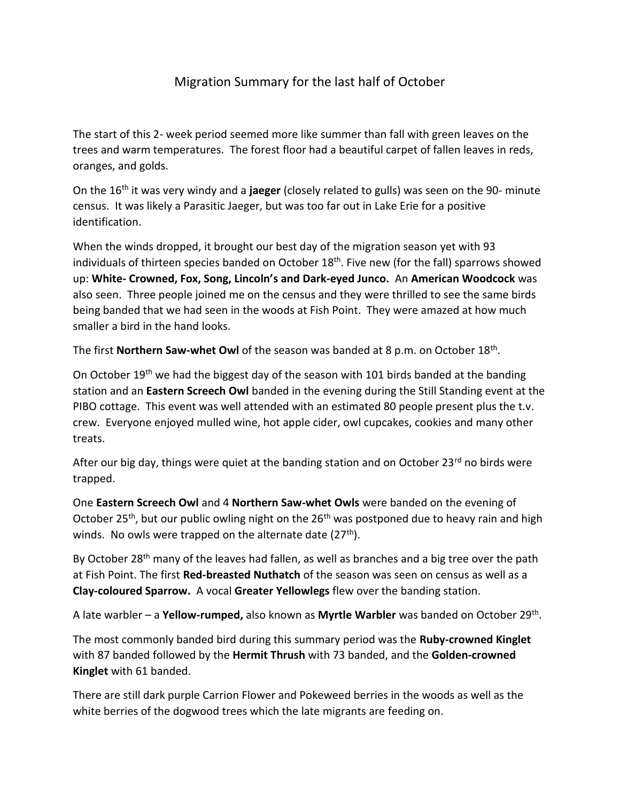## Migration Summary for the last half of October

The start of this 2- week period seemed more like summer than fall with green leaves on the trees and warm temperatures. The forest floor had a beautiful carpet of fallen leaves in reds, oranges, and golds.

On the 16th it was very windy and a **jaeger** (closely related to gulls) was seen on the 90- minute census. It was likely a Parasitic Jaeger, but was too far out in Lake Erie for a positive identification.

When the winds dropped, it brought our best day of the migration season yet with 93 individuals of thirteen species banded on October 18<sup>th</sup>. Five new (for the fall) sparrows showed up: **White- Crowned, Fox, Song, Lincoln's and Dark-eyed Junco.** An **American Woodcock** was also seen. Three people joined me on the census and they were thrilled to see the same birds being banded that we had seen in the woods at Fish Point. They were amazed at how much smaller a bird in the hand looks.

The first **Northern Saw-whet Owl** of the season was banded at 8 p.m. on October 18<sup>th</sup>.

On October 19<sup>th</sup> we had the biggest day of the season with 101 birds banded at the banding station and an **Eastern Screech Owl** banded in the evening during the Still Standing event at the PIBO cottage. This event was well attended with an estimated 80 people present plus the t.v. crew. Everyone enjoyed mulled wine, hot apple cider, owl cupcakes, cookies and many other treats.

After our big day, things were quiet at the banding station and on October 23 $^{rd}$  no birds were trapped.

One **Eastern Screech Owl** and 4 **Northern Saw-whet Owls** were banded on the evening of October 25<sup>th</sup>, but our public owling night on the 26<sup>th</sup> was postponed due to heavy rain and high winds. No owls were trapped on the alternate date  $(27<sup>th</sup>)$ .

By October 28<sup>th</sup> many of the leaves had fallen, as well as branches and a big tree over the path at Fish Point. The first **Red-breasted Nuthatch** of the season was seen on census as well as a **Clay-coloured Sparrow.** A vocal **Greater Yellowlegs** flew over the banding station.

A late warbler – a Yellow-rumped, also known as Myrtle Warbler was banded on October 29<sup>th</sup>.

The most commonly banded bird during this summary period was the **Ruby-crowned Kinglet** with 87 banded followed by the **Hermit Thrush** with 73 banded, and the **Golden-crowned Kinglet** with 61 banded.

There are still dark purple Carrion Flower and Pokeweed berries in the woods as well as the white berries of the dogwood trees which the late migrants are feeding on.